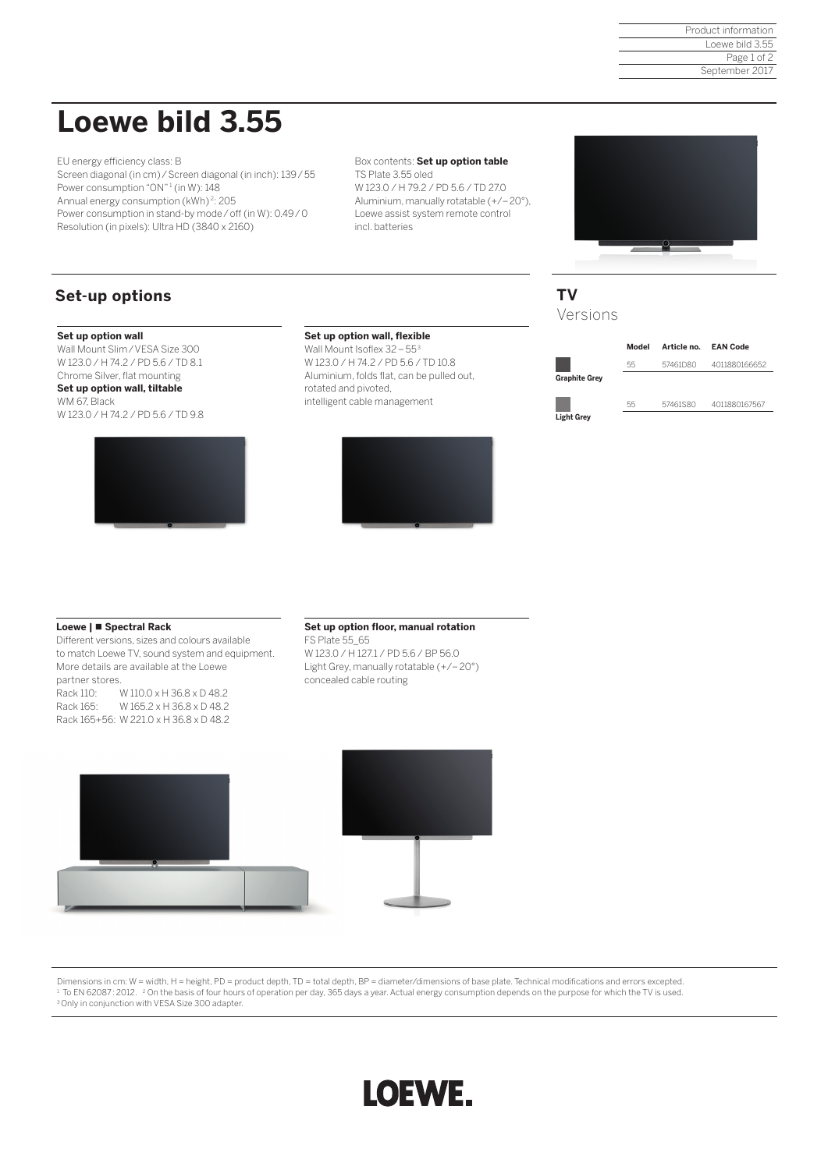Product information Loewe bild 3.55 Page 1 of 2 September 2017

## **Loewe bild 3.55**

EU energy efficiency class: B Screen diagonal (in cm)/Screen diagonal (in inch): 139/55 Power consumption "ON"<sup>1</sup> (in W): 148 Annual energy consumption (kWh) <sup>2</sup>: 205 Power consumption in stand-by mode/off (in W): 0.49/0 Resolution (in pixels): Ultra HD (3840 x 2160)

Box contents: **Set up option table**  TS Plate 3.55 oled W 123.0 / H 79.2 / PD 5.6 / TD 27.0 Aluminium, manually rotatable (+/–20°), Loewe assist system remote control incl. batteries

## **Set-up options**

#### **Set up option wall**

Wall Mount Slim/VESA Size 300 W 123.0 / H 74.2 / PD 5.6 / TD 8.1 Chrome Silver, flat mounting

#### **Set up option wall, tiltable**  WM 67, Black W 123.0 / H 74.2 / PD 5.6 / TD 9.8



### **Set up option wall, flexible**

Wall Mount Isoflex 32-55<sup>3</sup> W 123.0 / H 74.2 / PD 5.6 / TD 10.8 Aluminium, folds flat, can be pulled out, rotated and pivoted, intelligent cable management



## **TV** Versions



### **Loewe | Spectral Rack**

Different versions, sizes and colours available to match Loewe TV, sound system and equipment. More details are available at the Loewe partner stores. Rack 110: W 110.0 x H 36.8 x D 48.2

Rack 165: W 165.2 x H 36.8 x D 48.2 Rack 165+56: W 221.0 x H 36.8 x D 48.2

## **Set up option floor, manual rotation**

FS Plate 55\_65 W 123.0 / H 127.1 / PD 5.6 / BP 56.0 Light Grey, manually rotatable (+/–20°) concealed cable routing



Dimensions in cm: W = width, H = height, PD = product depth, TD = total depth, BP = diameter/dimensions of base plate. Technical modifications and errors excepted. <sup>1</sup> To EN 62087: 2012. <sup>2</sup> On the basis of four hours of operation per day, 365 days a year. Actual energy consumption depends on the purpose for which the TV is used.<br><sup>3</sup> Only in conjunction with VESA Size 300 adapter.

# LOEWE.